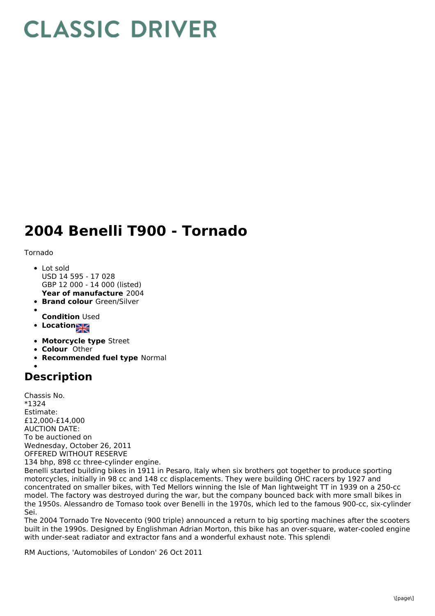## **CLASSIC DRIVER**

## **2004 Benelli T900 - Tornado**

Tornado

- **Year of manufacture** 2004 Lot sold USD 14 595 - 17 028 GBP 12 000 - 14 000 (listed)
- **Brand colour** Green/Silver
- 
- **Condition** Used
- Location
- **Motorcycle type** Street
- **Colour** Other
- **Recommended fuel type** Normal

## **Description**

Chassis No. \*1324 Estimate: £12,000-£14,000 AUCTION DATE: To be auctioned on Wednesday, October 26, 2011 OFFERED WITHOUT RESERVE 134 bhp, 898 cc three-cylinder engine.

Benelli started building bikes in 1911 in Pesaro, Italy when six brothers got together to produce sporting motorcycles, initially in 98 cc and 148 cc displacements. They were building OHC racers by 1927 and concentrated on smaller bikes, with Ted Mellors winning the Isle of Man lightweight TT in 1939 on a 250-cc model. The factory was destroyed during the war, but the company bounced back with more small bikes in the 1950s. Alessandro de Tomaso took over Benelli in the 1970s, which led to the famous 900-cc, six-cylinder Sei.

The 2004 Tornado Tre Novecento (900 triple) announced a return to big sporting machines after the scooters built in the 1990s. Designed by Englishman Adrian Morton, this bike has an over-square, water-cooled engine with under-seat radiator and extractor fans and a wonderful exhaust note. This splendi

RM Auctions, 'Automobiles of London' 26 Oct 2011